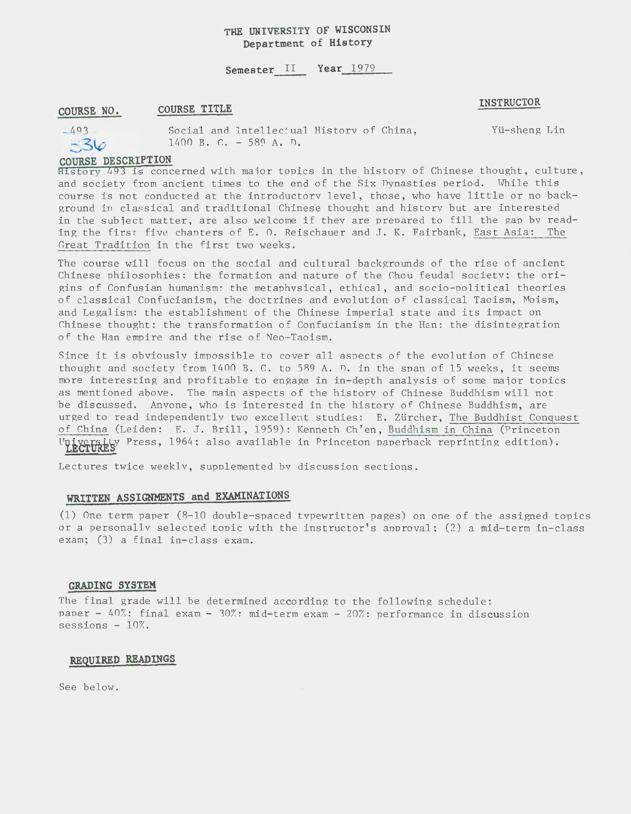# **THE UNIVERSITY OF WISCONSIN Department of History**

# **Semester** II **Year** <sup>1979</sup>

#### **COURSE NO. COURSE TITLE**

#### **INSTRUCTOR**



Social and Intellectual History of China, 1400 B. C. - 589 A. D.

Yli-sheng Lin

## **COURSE DESCRIPTION**

Hlstory 493 is concerned with maior topics in the history of Chinese thought, culture, and society from ancient times to the end of the Six Dynasties period. While this course is not conducted at the introductory level, those, who have little or no background in clas sical and traditional Chinese thought and history but are interested in the subject matter, are also welcome if they are prepared to fill the gap by reading the first five chapters of E. 0. Reischauer and J. K. Fairbank, East Asia: The Great Tradition in the first two weeks.

The course will focus on the social and cultural backgrounds of the rise of ancient Chinese philosophies: the formation and nature of the Chou feudal society; the origins of Confusian humanism; the metaphysical, ethical, and socio-political theories of classical Confucianism, the doctrines and evolution of classical Taoism, Moism, and Legalism: the establishment of the Chinese imperial state and its impact on Chinese thought: the transformation of Confucianism in the Han: the disintegration of the Han empire and the rise of Neo-Taoism.

Since it is obviously impossible to cover all aspects of the evolution of Chinese thought and society from 1400 B. C. to 589 A. D. in the span of 15 weeks, it seems more interesting and profitable to engage in in-depth analysis of some maior topics as mentioned above. The main aspects of the history of Chinese Buddhism will not be discussed. Anyone, who is interested in the history of Chinese Buddhism, are urged to read independently two excellent studies: E. Zürcher, The Buddhist Conquest of China (Leiden: E. J. Brill, 1959): Kenneth Ch'en, Buddhism in China (Princeton University Press, 1964; also available in Princeton paperback reprinting edition).

Lectures twice weekly, supplemented by discussion sections.

# **WRITTEN ASSIGNMENTS and EXAMINATIONS**

 $(1)$  One term paper  $(8-10$  double-spaced typewritten pages) on one of the assigned topics or a personally selected topic with the instructor's approval: (2) a mid-term in-class exam;  $(3)$  a final in-class exam.

#### **GRADING SYSTEM**

The final grade will be determined according to the following schedule: paper -  $40\%$ : final exam -  $30\%$ : mid-term exam -  $20\%$ : performance in discussion sessions  $-10\%$ .

#### **REQUIRED READINGS**

See below.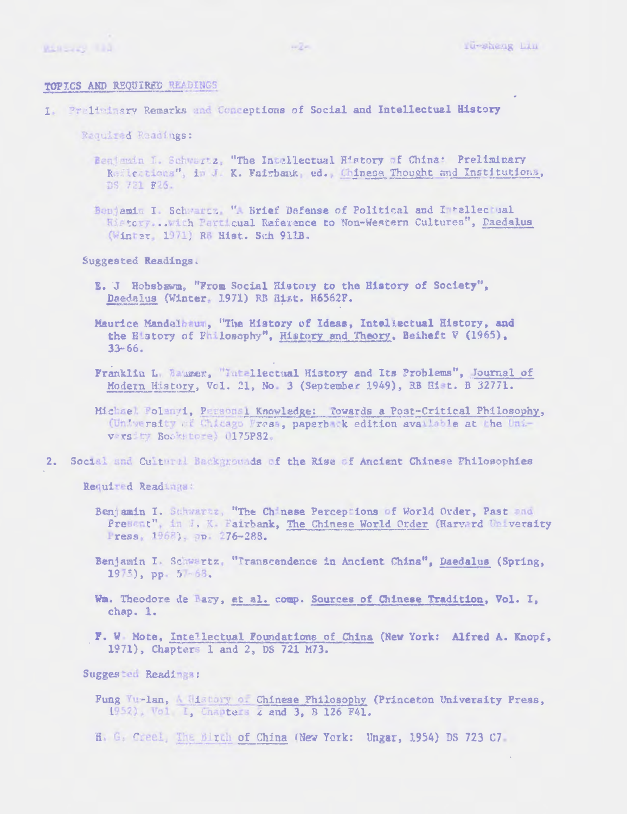#### TOPICS AND REQUIRED READINGS

I. Prelininary Remarks and Conceptions of Social and Intellectual History

Required Readings:

Benjamin I. Schwertz, "The Intellectual History of China: Preliminary Reflections", in J. K. Fairbank, ed., Chinese Thought and Institutions, DS 721 F25.

Benjamin I. Schwartz, "A Brief Defense of Political and Intellectual Wistory... with Particual Raference to Non-Western Cultures", Daedalus (Winter, 1971) RB Hist. Sch 911B.

Suggested Readings.

E. J Hobsbawm, "From Social History to the History of Society", Daedalus (Winter, 1971) RB Hist. R6562F.

Maurice Mandelbaum, "The History of Ideas, Inteliectual History, and the History of Philosophy", History and Theory, Beiheft V (1965),  $33 - 66.$ 

Franklin L. Baumer, "Intellectual History and Its Problems", Journal of Modern History, Vol. 21, No. 3 (September 1949), RB Hist. B 32771.

Michael Polanyi, Personal Knowledge: Towards a Post-Critical Philosophy, (University of Chicago Fress, paperback edition available at the University Bookstore) (175P82.

2. Social and Cultural Backgrounds of the Rise of Ancient Chinese Philosophies

Required Readings:

- Benjamin I. Schwartz, "The Chinese Perceptions of World Order, Past and Present", in J. K. Fairbank, The Chinese World Order (Harvard University Press, 1968), pp. 276-288.
- Benjamin I. Schwertz, "Transcendence in Ancient China", Daedalus (Spring,  $1975$ , pp. 5 - 63.
- Wm. Theodore de Bary, et al. comp. Sources of Chinese Tradition, Vol. I, chap. 1.
- F. W Mote, Intellectual Foundations of China (New York: Alfred A. Knopf, 1971), Chapters 1 and 2, DS 721 M73.

Suggested Readings:

- Fung Yu-lan, A History of Chinese Philosophy (Princeton University Press, 1952), Vol I, Chapters Z and 3, 8 126 F41.
- H. G. Creel, The Birth of China (New York: Ungar, 1954) DS 723 C7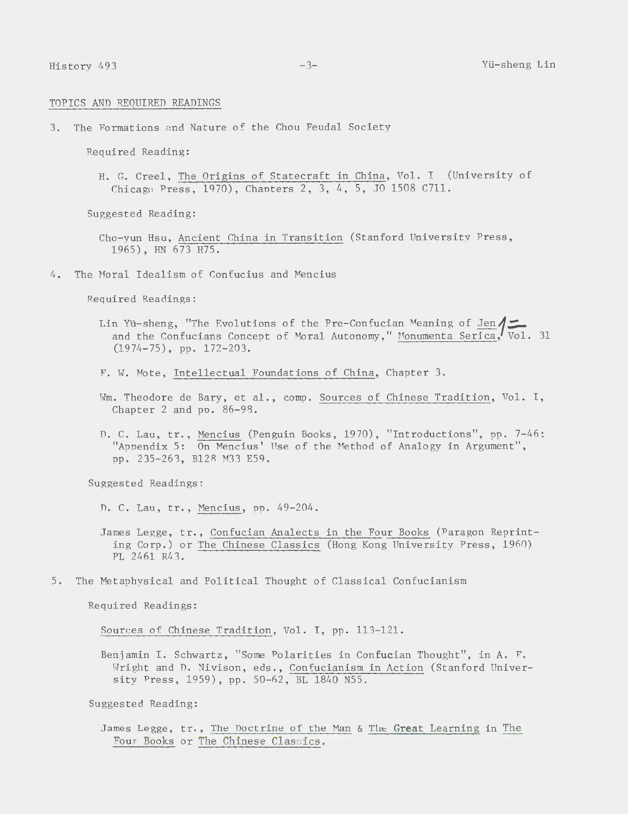#### TOPICS AND REQUIRED READINGS

3. The Formations and Nature of the Chou Feudal Society

Required Reading:

H. G. Creel, The Origins of Statecraft in China, Vol. I (University of Chicago Press, 1970), Chapters 2, 3, 4, 5, JO 1508 C711.

Suggested Reading:

Cho-yun Hsu, Ancient China in Transition (Stanford University Press, 1965), HN 673 H75.

4. The Hora1 Idealism of Confucius and Mencius

Required Readings:

- Lin Yü-sheng, "The Evolutions of the Pre-Confucian Meaning of Jen  $\sqrt{\phantom{a}}$ and the Confucians Concept of Moral Autonomy," Monumenta Serica,  $\overline{Vol}$ . 31 (1974-75), pp. 172-203.
- F. W. Mote, Intellectual Foundations of China, Chapter 3.
- Wm. Theodore de Bary, et al., comp. Sources of Chinese Tradition, Vol. I, Chapter 2 and pp. 86-98.
- D. C. Lau, tr., Mencius (Penguin Books, 1970), "Introductions", pp. 7-46; "Appendix 5: On Mencius' Use of the Method of Analogy in Argument", pp. 235-263, Bl28 M33 E59.

Suggested Readings:

D. C. Lau, tr., Mencius, pp. 49-204.

5. The Metaphysical and Political Thought of Classical Confucianism

Required Readings:

Sources of Chinese Tradition, Vol. I, pp. 113-121.

Benjamin I. Schwartz, "Some Polarities in Confucian Thought", in A. F. Wright and D. Nivison, eds., Confucianism in Action (Stanford University Press, 1959), pp. 50-62, BL 1840 N55.

Suggested Reading:

James Legge, tr., The Doctrine of the Man & The Great Learning in The Four Books or The Chinese Classics.

James Legge, tr., Confucian Analects in the Four Books (Paragon Reprinting Corp.) or The Chinese Classics (Hong Kong University Press, 1960) PL 2461 R43.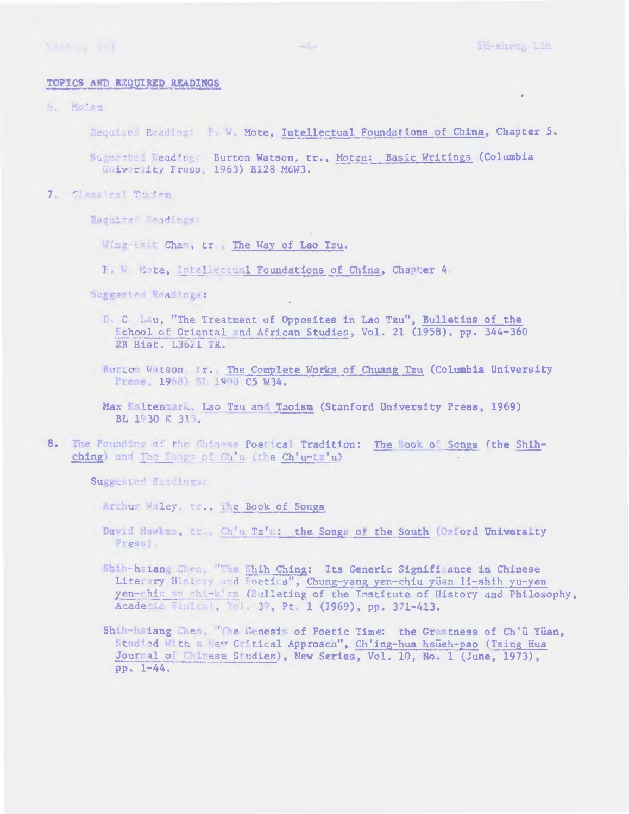#### TOPICS AND REQUIRED READINGS

6. Moism

Required Reading: F. W. Mote, Intellectual Foundations of China, Chapter 5.

Sugerated Reading: Burton Watson, tr., Motzu: Basic Writings (Columbia University Press, 1963) B128 M6W3.

7. Classical Taciem

Require Readings:

Wing-usit Chan, tr The Way of Lao Tzu.

F. W. Mote, Intellectual Foundations of China, Chapter 4

Suggested Readings:

- B. C. Lau, "The Treatment of Opposites in Lao Tzu", Bulletins of the School of Oriental and African Studies, Vol. 21 (1958), pp. 344-360 RB Hist. L3621 TR.
- Burton Watson, tr. The Complete Works of Chuang Tzu (Columbia University Press, 1968) ST. 1900 C5 W34.
- Max Kaltenmark, Lao Tzu and Taoism (Stanford University Press, 1969) BL 1930 K 313.
- $8<sub>-</sub>$ The Founding of the Uninese Poetical Tradition: The Book of Songs (the Shihching) and The Sangs of Ch'u (the Ch'u-tz'u)

Suggested Readings:

Arthur Waley, tr., The Book of Songs

- David Hawkes, tr., Ch'u Tz'u: the Songs of the South (Oxford University Press).
- Shih-hsiang Chen, "The Shih Ching: Its Generic Signifi ance in Chinese Literary History and Foetius", Chung-yang yen-chiu yüan 11-shih yu-yen yen-chim so whi-k'an (Bulleting of the Institute of History and Philosophy, Academia Sinica), Vol. 39, Pt. 1 (1969), pp. 371-413.

Shih-hsiang Chen, "The Genesis of Poetic Time: the Greatness of Ch'ü Yüan, Studied With a New Critical Approach", Ch'ing-hua hsueh-pao (Tsing Hua Journal of Chinese Studies), New Series, Vol. 10, No. 1 (June, 1973),  $PP - 1 - 44.$